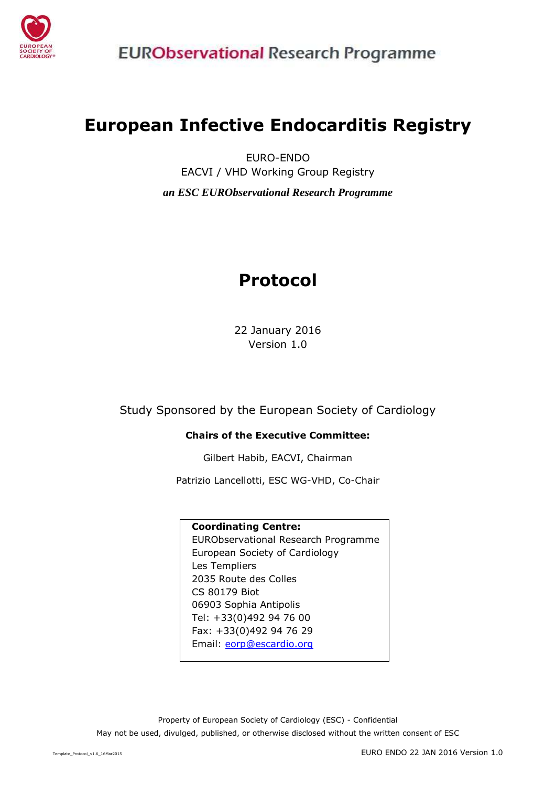

# **European Infective Endocarditis Registry**

EURO-ENDO EACVI / VHD Working Group Registry *an ESC EURObservational Research Programme*

# **Protocol**

22 January 2016 Version 1.0

Study Sponsored by the European Society of Cardiology

#### **Chairs of the Executive Committee:**

Gilbert Habib, EACVI, Chairman

Patrizio Lancellotti, ESC WG-VHD, Co-Chair

#### **Coordinating Centre:**

EURObservational Research Programme European Society of Cardiology Les Templiers 2035 Route des Colles CS 80179 Biot 06903 Sophia Antipolis Tel: +33(0)492 94 76 00 Fax: +33(0)492 94 76 29 Email: [eorp@escardio.org](mailto:eorp@escardio.org)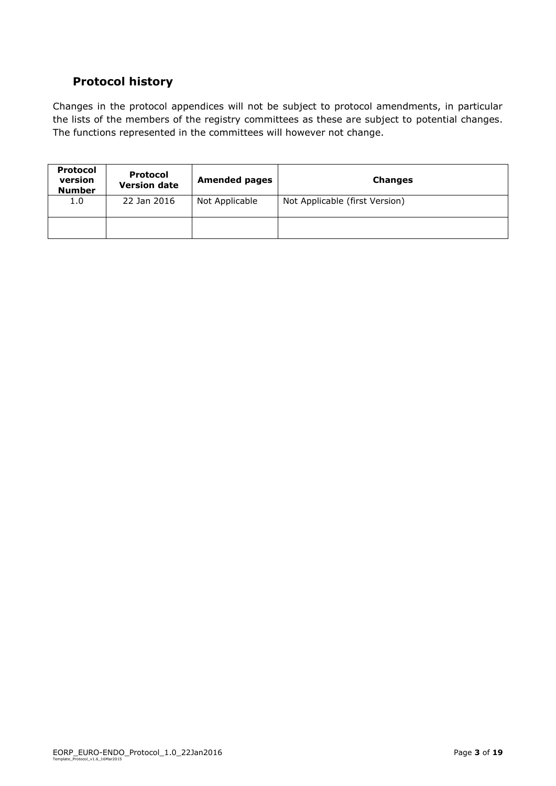# <span id="page-2-0"></span>**Protocol history**

Changes in the protocol appendices will not be subject to protocol amendments, in particular the lists of the members of the registry committees as these are subject to potential changes. The functions represented in the committees will however not change.

| <b>Protocol</b><br>version<br><b>Number</b> | <b>Protocol</b><br><b>Version date</b> | <b>Amended pages</b> | <b>Changes</b>                 |
|---------------------------------------------|----------------------------------------|----------------------|--------------------------------|
| 1.0                                         | 22 Jan 2016                            | Not Applicable       | Not Applicable (first Version) |
|                                             |                                        |                      |                                |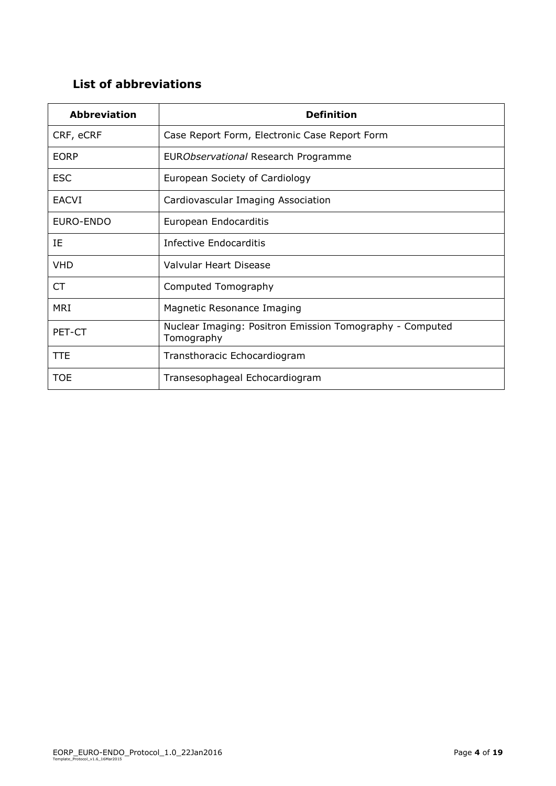# <span id="page-3-0"></span>**List of abbreviations**

| <b>Abbreviation</b> | <b>Definition</b>                                                      |
|---------------------|------------------------------------------------------------------------|
| CRF, eCRF           | Case Report Form, Electronic Case Report Form                          |
| <b>EORP</b>         | EURObservational Research Programme                                    |
| <b>ESC</b>          | European Society of Cardiology                                         |
| <b>EACVI</b>        | Cardiovascular Imaging Association                                     |
| EURO-ENDO           | European Endocarditis                                                  |
| ΙE                  | Infective Endocarditis                                                 |
| <b>VHD</b>          | Valvular Heart Disease                                                 |
| CT                  | Computed Tomography                                                    |
| <b>MRI</b>          | Magnetic Resonance Imaging                                             |
| PET-CT              | Nuclear Imaging: Positron Emission Tomography - Computed<br>Tomography |
| <b>TTE</b>          | Transthoracic Echocardiogram                                           |
| <b>TOE</b>          | Transesophageal Echocardiogram                                         |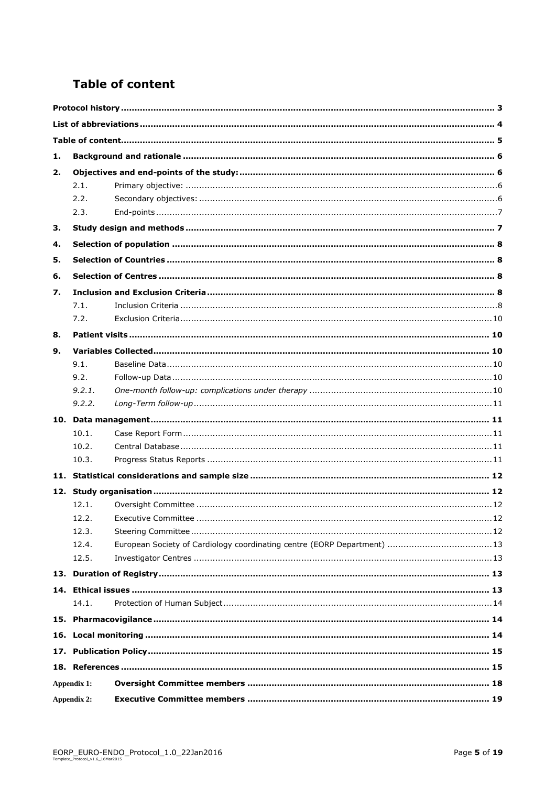# <span id="page-4-0"></span>**Table of content**

| 1.          |        |                                                                          |  |  |  |
|-------------|--------|--------------------------------------------------------------------------|--|--|--|
| 2.          |        |                                                                          |  |  |  |
|             | 2.1.   |                                                                          |  |  |  |
|             | 2.2.   |                                                                          |  |  |  |
|             | 2.3.   |                                                                          |  |  |  |
| 3.          |        |                                                                          |  |  |  |
| 4.          |        |                                                                          |  |  |  |
| 5.          |        |                                                                          |  |  |  |
| 6.          |        |                                                                          |  |  |  |
| 7.          |        |                                                                          |  |  |  |
|             | 7.1.   |                                                                          |  |  |  |
|             | 7.2.   |                                                                          |  |  |  |
| 8.          |        |                                                                          |  |  |  |
| 9.          |        |                                                                          |  |  |  |
|             | 9.1.   |                                                                          |  |  |  |
|             | 9.2.   |                                                                          |  |  |  |
|             | 9.2.1. |                                                                          |  |  |  |
|             | 9.2.2. |                                                                          |  |  |  |
|             |        |                                                                          |  |  |  |
|             | 10.1.  |                                                                          |  |  |  |
|             | 10.2.  |                                                                          |  |  |  |
|             | 10.3.  |                                                                          |  |  |  |
|             |        |                                                                          |  |  |  |
|             |        |                                                                          |  |  |  |
|             | 12.1.  |                                                                          |  |  |  |
|             | 12.2.  |                                                                          |  |  |  |
|             | 12.3.  |                                                                          |  |  |  |
|             | 12.4.  | European Society of Cardiology coordinating centre (EORP Department)  13 |  |  |  |
|             | 12.5.  |                                                                          |  |  |  |
|             |        |                                                                          |  |  |  |
|             |        |                                                                          |  |  |  |
|             | 14.1.  |                                                                          |  |  |  |
|             |        |                                                                          |  |  |  |
|             |        |                                                                          |  |  |  |
|             |        |                                                                          |  |  |  |
|             |        |                                                                          |  |  |  |
| Appendix 1: |        |                                                                          |  |  |  |
| Appendix 2: |        |                                                                          |  |  |  |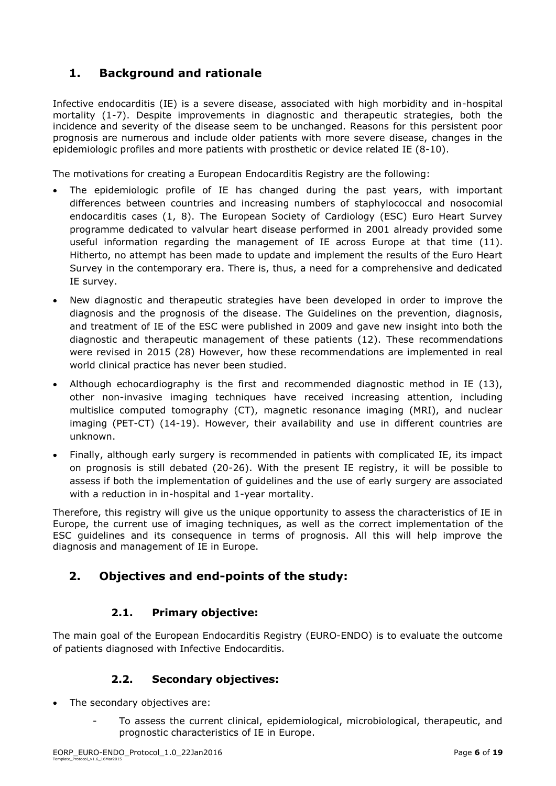# <span id="page-5-0"></span>**1. Background and rationale**

Infective endocarditis (IE) is a severe disease, associated with high morbidity and in-hospital mortality (1-7). Despite improvements in diagnostic and therapeutic strategies, both the incidence and severity of the disease seem to be unchanged. Reasons for this persistent poor prognosis are numerous and include older patients with more severe disease, changes in the epidemiologic profiles and more patients with prosthetic or device related IE (8-10).

The motivations for creating a European Endocarditis Registry are the following:

- The epidemiologic profile of IE has changed during the past years, with important differences between countries and increasing numbers of staphylococcal and nosocomial endocarditis cases (1, 8). The European Society of Cardiology (ESC) Euro Heart Survey programme dedicated to valvular heart disease performed in 2001 already provided some useful information regarding the management of IE across Europe at that time (11). Hitherto, no attempt has been made to update and implement the results of the Euro Heart Survey in the contemporary era. There is, thus, a need for a comprehensive and dedicated IE survey.
- New diagnostic and therapeutic strategies have been developed in order to improve the diagnosis and the prognosis of the disease. The Guidelines on the prevention, diagnosis, and treatment of IE of the ESC were published in 2009 and gave new insight into both the diagnostic and therapeutic management of these patients (12). These recommendations were revised in 2015 (28) However, how these recommendations are implemented in real world clinical practice has never been studied.
- Although echocardiography is the first and recommended diagnostic method in IE (13), other non-invasive imaging techniques have received increasing attention, including multislice computed tomography (CT), magnetic resonance imaging (MRI), and nuclear imaging (PET-CT) (14-19). However, their availability and use in different countries are unknown.
- Finally, although early surgery is recommended in patients with complicated IE, its impact on prognosis is still debated (20-26). With the present IE registry, it will be possible to assess if both the implementation of guidelines and the use of early surgery are associated with a reduction in in-hospital and 1-year mortality.

Therefore, this registry will give us the unique opportunity to assess the characteristics of IE in Europe, the current use of imaging techniques, as well as the correct implementation of the ESC guidelines and its consequence in terms of prognosis. All this will help improve the diagnosis and management of IE in Europe.

# <span id="page-5-1"></span>**2. Objectives and end-points of the study:**

# **2.1. Primary objective:**

<span id="page-5-3"></span><span id="page-5-2"></span>The main goal of the European Endocarditis Registry (EURO-ENDO) is to evaluate the outcome of patients diagnosed with Infective Endocarditis.

#### **2.2. Secondary objectives:**

- The secondary objectives are:
	- To assess the current clinical, epidemiological, microbiological, therapeutic, and prognostic characteristics of IE in Europe.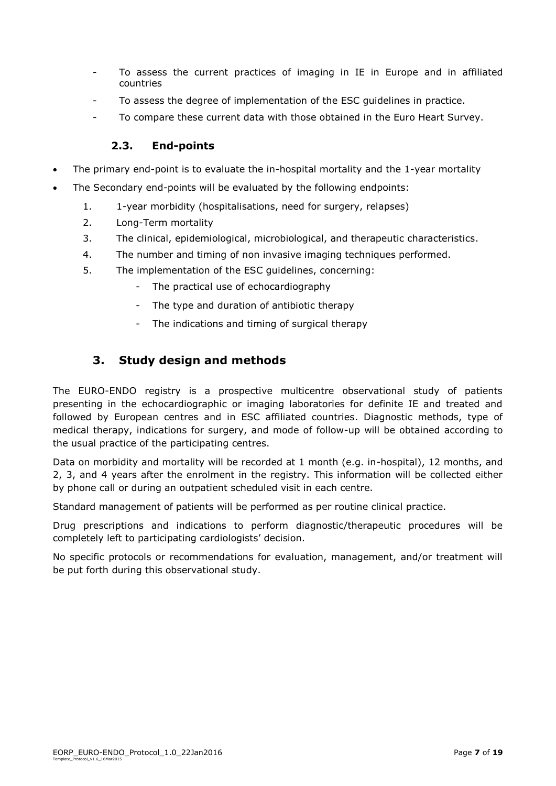- To assess the current practices of imaging in IE in Europe and in affiliated countries
- To assess the degree of implementation of the ESC guidelines in practice.
- To compare these current data with those obtained in the Euro Heart Survey.

#### **2.3. End-points**

- <span id="page-6-0"></span>The primary end-point is to evaluate the in-hospital mortality and the 1-year mortality
- The Secondary end-points will be evaluated by the following endpoints:
	- 1. 1-year morbidity (hospitalisations, need for surgery, relapses)
	- 2. Long-Term mortality
	- 3. The clinical, epidemiological, microbiological, and therapeutic characteristics.
	- 4. The number and timing of non invasive imaging techniques performed.
	- 5. The implementation of the ESC guidelines, concerning:
		- The practical use of echocardiography
		- The type and duration of antibiotic therapy
		- The indications and timing of surgical therapy

# <span id="page-6-1"></span>**3. Study design and methods**

The EURO-ENDO registry is a prospective multicentre observational study of patients presenting in the echocardiographic or imaging laboratories for definite IE and treated and followed by European centres and in ESC affiliated countries. Diagnostic methods, type of medical therapy, indications for surgery, and mode of follow-up will be obtained according to the usual practice of the participating centres.

Data on morbidity and mortality will be recorded at 1 month (e.g. in-hospital), 12 months, and 2, 3, and 4 years after the enrolment in the registry. This information will be collected either by phone call or during an outpatient scheduled visit in each centre.

Standard management of patients will be performed as per routine clinical practice.

Drug prescriptions and indications to perform diagnostic/therapeutic procedures will be completely left to participating cardiologists' decision.

No specific protocols or recommendations for evaluation, management, and/or treatment will be put forth during this observational study.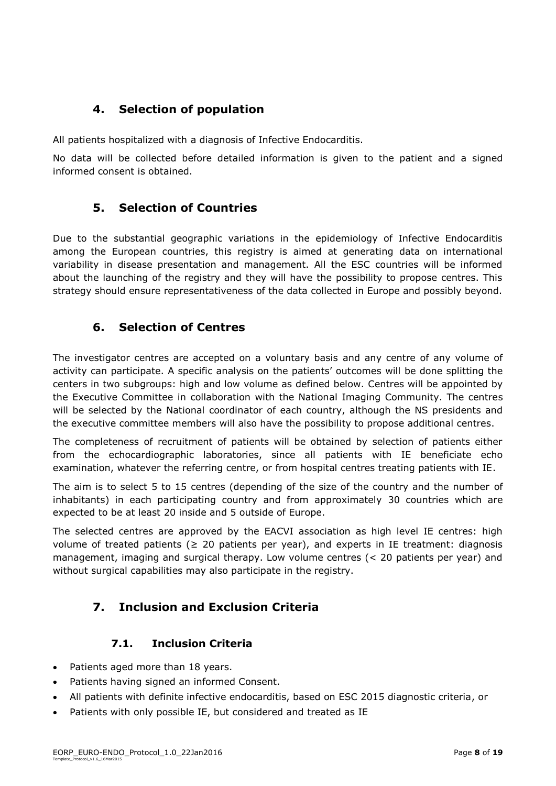# <span id="page-7-0"></span>**4. Selection of population**

All patients hospitalized with a diagnosis of Infective Endocarditis.

<span id="page-7-1"></span>No data will be collected before detailed information is given to the patient and a signed informed consent is obtained.

# **5. Selection of Countries**

Due to the substantial geographic variations in the epidemiology of Infective Endocarditis among the European countries, this registry is aimed at generating data on international variability in disease presentation and management. All the ESC countries will be informed about the launching of the registry and they will have the possibility to propose centres. This strategy should ensure representativeness of the data collected in Europe and possibly beyond.

# <span id="page-7-2"></span>**6. Selection of Centres**

The investigator centres are accepted on a voluntary basis and any centre of any volume of activity can participate. A specific analysis on the patients' outcomes will be done splitting the centers in two subgroups: high and low volume as defined below. Centres will be appointed by the Executive Committee in collaboration with the National Imaging Community. The centres will be selected by the National coordinator of each country, although the NS presidents and the executive committee members will also have the possibility to propose additional centres.

The completeness of recruitment of patients will be obtained by selection of patients either from the echocardiographic laboratories, since all patients with IE beneficiate echo examination, whatever the referring centre, or from hospital centres treating patients with IE.

The aim is to select 5 to 15 centres (depending of the size of the country and the number of inhabitants) in each participating country and from approximately 30 countries which are expected to be at least 20 inside and 5 outside of Europe.

The selected centres are approved by the EACVI association as high level IE centres: high volume of treated patients ( $\geq$  20 patients per year), and experts in IE treatment: diagnosis management, imaging and surgical therapy. Low volume centres (< 20 patients per year) and without surgical capabilities may also participate in the registry.

# <span id="page-7-3"></span>**7. Inclusion and Exclusion Criteria**

#### **7.1. Inclusion Criteria**

- <span id="page-7-4"></span>• Patients aged more than 18 years.
- Patients having signed an informed Consent.
- All patients with definite infective endocarditis, based on ESC 2015 diagnostic criteria, or
- Patients with only possible IE, but considered and treated as IE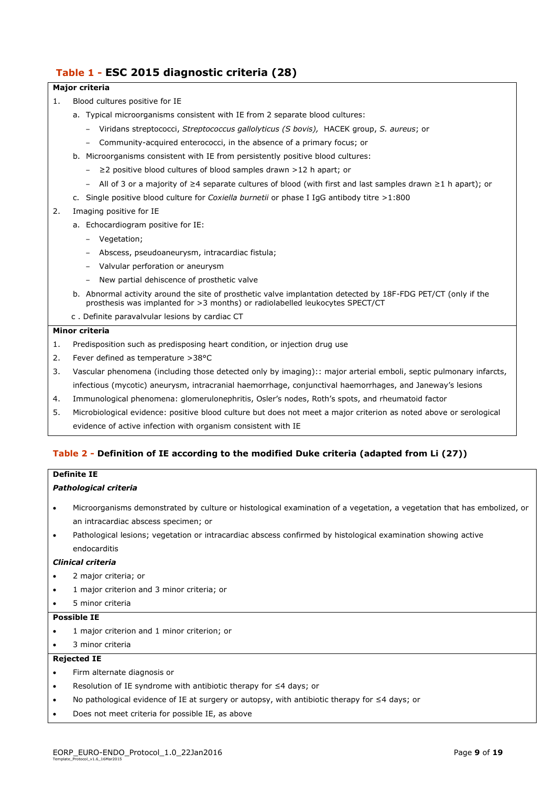#### **Table 1 - ESC 2015 diagnostic criteria (28)**

#### **Major criteria**

- 1. Blood cultures positive for IE
	- a. Typical microorganisms consistent with IE from 2 separate blood cultures:
		- ‒ Viridans streptococci, *Streptococcus gallolyticus (S bovis),* HACEK group, *S. aureus*; or
		- ‒ Community-acquired enterococci, in the absence of a primary focus; or
	- b. Microorganisms consistent with IE from persistently positive blood cultures:
		- ‒ ≥2 positive blood cultures of blood samples drawn >12 h apart; or
		- ‒ All of 3 or a majority of ≥4 separate cultures of blood (with first and last samples drawn ≥1 h apart); or
	- c. Single positive blood culture for *Coxiella burnetii* or phase I IgG antibody titre >1:800
- 2. Imaging positive for IE
	- a. Echocardiogram positive for IE:
		- ‒ Vegetation;
		- ‒ Abscess, pseudoaneurysm, intracardiac fistula;
		- ‒ Valvular perforation or aneurysm
		- ‒ New partial dehiscence of prosthetic valve
	- b. Abnormal activity around the site of prosthetic valve implantation detected by 18F-FDG PET/CT (only if the prosthesis was implanted for >3 months) or radiolabelled leukocytes SPECT/CT
	- c . Definite paravalvular lesions by cardiac CT

#### **Minor criteria**

- 1. Predisposition such as predisposing heart condition, or injection drug use
- 2. Fever defined as temperature >38°C
- 3. Vascular phenomena (including those detected only by imaging):: major arterial emboli, septic pulmonary infarcts, infectious (mycotic) aneurysm, intracranial haemorrhage, conjunctival haemorrhages, and Janeway's lesions
- 4. Immunological phenomena: glomerulonephritis, Osler's nodes, Roth's spots, and rheumatoid factor
- 5. Microbiological evidence: positive blood culture but does not meet a major criterion as noted above or serological evidence of active infection with organism consistent with IE

#### **Table 2 - Definition of IE according to the modified Duke criteria (adapted from Li (27))**

#### **Definite IE**

#### *Pathological criteria*

- Microorganisms demonstrated by culture or histological examination of a vegetation, a vegetation that has embolized, or an intracardiac abscess specimen; or
- Pathological lesions; vegetation or intracardiac abscess confirmed by histological examination showing active endocarditis

#### *Clinical criteria*

- 2 major criteria; or
- 1 major criterion and 3 minor criteria; or
- 5 minor criteria

#### **Possible IE**

- 1 major criterion and 1 minor criterion; or
- 3 minor criteria

#### **Rejected IE**

- Firm alternate diagnosis or
- Resolution of IE syndrome with antibiotic therapy for ≤4 days; or
- No pathological evidence of IE at surgery or autopsy, with antibiotic therapy for ≤4 days; or
- Does not meet criteria for possible IE, as above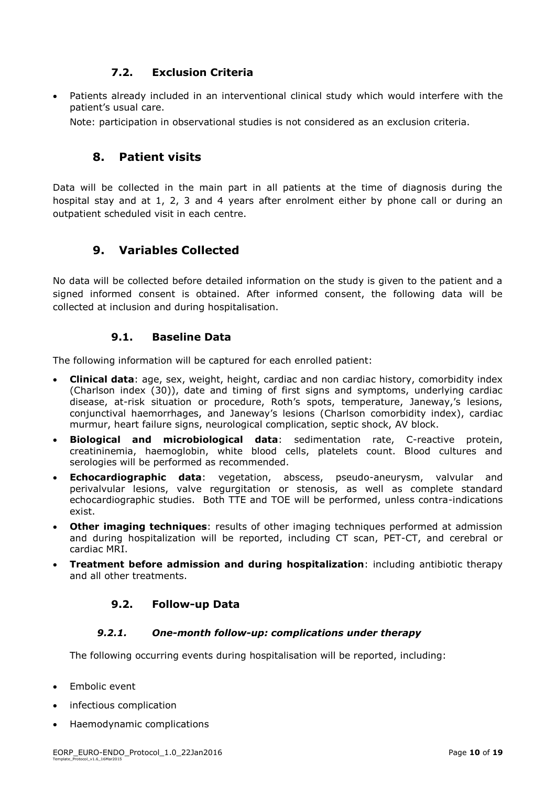#### **7.2. Exclusion Criteria**

<span id="page-9-0"></span> Patients already included in an interventional clinical study which would interfere with the patient's usual care.

<span id="page-9-1"></span>Note: participation in observational studies is not considered as an exclusion criteria.

# **8. Patient visits**

Data will be collected in the main part in all patients at the time of diagnosis during the hospital stay and at 1, 2, 3 and 4 years after enrolment either by phone call or during an outpatient scheduled visit in each centre.

# <span id="page-9-2"></span>**9. Variables Collected**

No data will be collected before detailed information on the study is given to the patient and a signed informed consent is obtained. After informed consent, the following data will be collected at inclusion and during hospitalisation.

#### **9.1. Baseline Data**

<span id="page-9-3"></span>The following information will be captured for each enrolled patient:

- **Clinical data**: age, sex, weight, height, cardiac and non cardiac history, comorbidity index (Charlson index (30)), date and timing of first signs and symptoms, underlying cardiac disease, at-risk situation or procedure, Roth's spots, temperature, Janeway,'s lesions, conjunctival haemorrhages, and Janeway's lesions (Charlson comorbidity index), cardiac murmur, heart failure signs, neurological complication, septic shock, AV block,
- **Biological and microbiological data**: sedimentation rate, C-reactive protein, creatininemia, haemoglobin, white blood cells, platelets count. Blood cultures and serologies will be performed as recommended.
- **Echocardiographic data**: vegetation, abscess, pseudo-aneurysm, valvular and perivalvular lesions, valve regurgitation or stenosis, as well as complete standard echocardiographic studies. Both TTE and TOE will be performed, unless contra-indications exist.
- **Other imaging techniques**: results of other imaging techniques performed at admission and during hospitalization will be reported, including CT scan, PET-CT, and cerebral or cardiac MRI.
- <span id="page-9-4"></span> **Treatment before admission and during hospitalization**: including antibiotic therapy and all other treatments.

#### **9.2. Follow-up Data**

#### *9.2.1. One-month follow-up: complications under therapy*

<span id="page-9-5"></span>The following occurring events during hospitalisation will be reported, including:

- Embolic event
- infectious complication
- Haemodynamic complications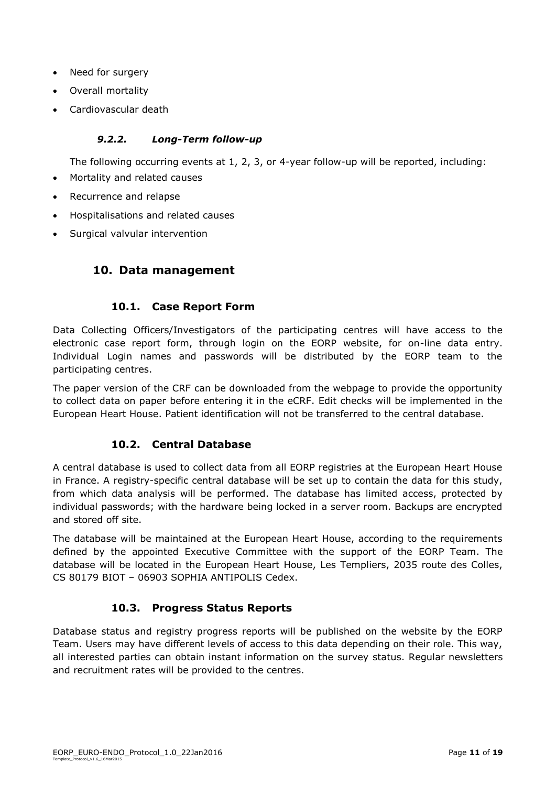- Need for surgery
- Overall mortality
- <span id="page-10-0"></span>Cardiovascular death

#### *9.2.2. Long-Term follow-up*

The following occurring events at 1, 2, 3, or 4-year follow-up will be reported, including:

- Mortality and related causes
- Recurrence and relapse
- Hospitalisations and related causes
- <span id="page-10-1"></span>Surgical valvular intervention

# **10. Data management**

#### **10.1. Case Report Form**

<span id="page-10-2"></span>Data Collecting Officers/Investigators of the participating centres will have access to the electronic case report form, through login on the EORP website, for on-line data entry. Individual Login names and passwords will be distributed by the EORP team to the participating centres.

The paper version of the CRF can be downloaded from the webpage to provide the opportunity to collect data on paper before entering it in the eCRF. Edit checks will be implemented in the European Heart House. Patient identification will not be transferred to the central database.

#### **10.2. Central Database**

<span id="page-10-3"></span>A central database is used to collect data from all EORP registries at the European Heart House in France. A registry-specific central database will be set up to contain the data for this study, from which data analysis will be performed. The database has limited access, protected by individual passwords; with the hardware being locked in a server room. Backups are encrypted and stored off site.

The database will be maintained at the European Heart House, according to the requirements defined by the appointed Executive Committee with the support of the EORP Team. The database will be located in the European Heart House, Les Templiers, 2035 route des Colles, CS 80179 BIOT – 06903 SOPHIA ANTIPOLIS Cedex.

#### **10.3. Progress Status Reports**

<span id="page-10-4"></span>Database status and registry progress reports will be published on the website by the EORP Team. Users may have different levels of access to this data depending on their role. This way, all interested parties can obtain instant information on the survey status. Regular newsletters and recruitment rates will be provided to the centres.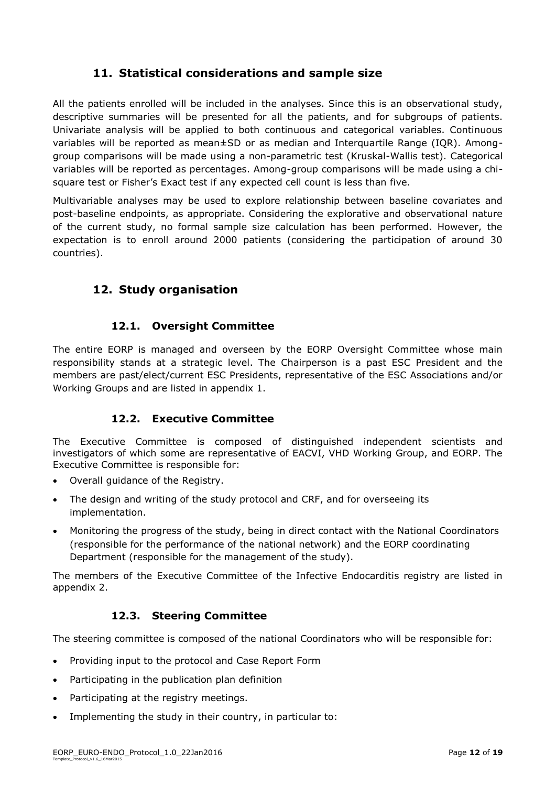# **11. Statistical considerations and sample size**

<span id="page-11-0"></span>All the patients enrolled will be included in the analyses. Since this is an observational study, descriptive summaries will be presented for all the patients, and for subgroups of patients. Univariate analysis will be applied to both continuous and categorical variables. Continuous variables will be reported as mean±SD or as median and Interquartile Range (IQR). Amonggroup comparisons will be made using a non-parametric test (Kruskal-Wallis test). Categorical variables will be reported as percentages. Among-group comparisons will be made using a chisquare test or Fisher's Exact test if any expected cell count is less than five.

Multivariable analyses may be used to explore relationship between baseline covariates and post-baseline endpoints, as appropriate. Considering the explorative and observational nature of the current study, no formal sample size calculation has been performed. However, the expectation is to enroll around 2000 patients (considering the participation of around 30 countries).

# <span id="page-11-1"></span>**12. Study organisation**

#### **12.1. Oversight Committee**

<span id="page-11-2"></span>The entire EORP is managed and overseen by the EORP Oversight Committee whose main responsibility stands at a strategic level. The Chairperson is a past ESC President and the members are past/elect/current ESC Presidents, representative of the ESC Associations and/or Working Groups and are listed in appendix 1.

#### **12.2. Executive Committee**

<span id="page-11-3"></span>The Executive Committee is composed of distinguished independent scientists and investigators of which some are representative of EACVI, VHD Working Group, and EORP. The Executive Committee is responsible for:

- Overall guidance of the Registry.
- The design and writing of the study protocol and CRF, and for overseeing its implementation.
- Monitoring the progress of the study, being in direct contact with the National Coordinators (responsible for the performance of the national network) and the EORP coordinating Department (responsible for the management of the study).

<span id="page-11-4"></span>The members of the Executive Committee of the Infective Endocarditis registry are listed in appendix 2.

#### **12.3. Steering Committee**

The steering committee is composed of the national Coordinators who will be responsible for:

- Providing input to the protocol and Case Report Form
- Participating in the publication plan definition
- Participating at the registry meetings.
- Implementing the study in their country, in particular to: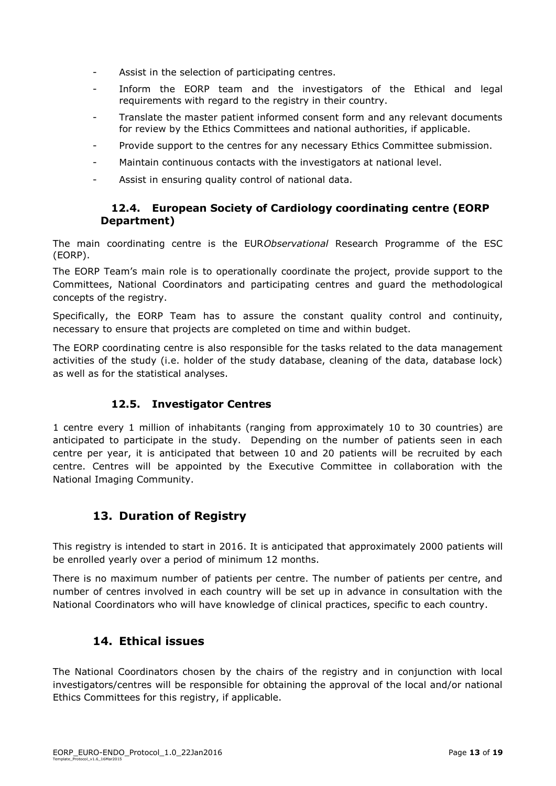- Assist in the selection of participating centres.
- Inform the EORP team and the investigators of the Ethical and legal requirements with regard to the registry in their country.
- Translate the master patient informed consent form and any relevant documents for review by the Ethics Committees and national authorities, if applicable.
- Provide support to the centres for any necessary Ethics Committee submission.
- Maintain continuous contacts with the investigators at national level.
- <span id="page-12-0"></span>Assist in ensuring quality control of national data.

#### **12.4. European Society of Cardiology coordinating centre (EORP Department)**

The main coordinating centre is the EUR*Observational* Research Programme of the ESC (EORP).

The EORP Team's main role is to operationally coordinate the project, provide support to the Committees, National Coordinators and participating centres and guard the methodological concepts of the registry.

Specifically, the EORP Team has to assure the constant quality control and continuity, necessary to ensure that projects are completed on time and within budget.

The EORP coordinating centre is also responsible for the tasks related to the data management activities of the study (i.e. holder of the study database, cleaning of the data, database lock) as well as for the statistical analyses.

# **12.5. Investigator Centres**

<span id="page-12-1"></span>1 centre every 1 million of inhabitants (ranging from approximately 10 to 30 countries) are anticipated to participate in the study. Depending on the number of patients seen in each centre per year, it is anticipated that between 10 and 20 patients will be recruited by each centre. Centres will be appointed by the Executive Committee in collaboration with the National Imaging Community.

# <span id="page-12-2"></span>**13. Duration of Registry**

This registry is intended to start in 2016. It is anticipated that approximately 2000 patients will be enrolled yearly over a period of minimum 12 months.

<span id="page-12-3"></span>There is no maximum number of patients per centre. The number of patients per centre, and number of centres involved in each country will be set up in advance in consultation with the National Coordinators who will have knowledge of clinical practices, specific to each country.

# **14. Ethical issues**

The National Coordinators chosen by the chairs of the registry and in conjunction with local investigators/centres will be responsible for obtaining the approval of the local and/or national Ethics Committees for this registry, if applicable.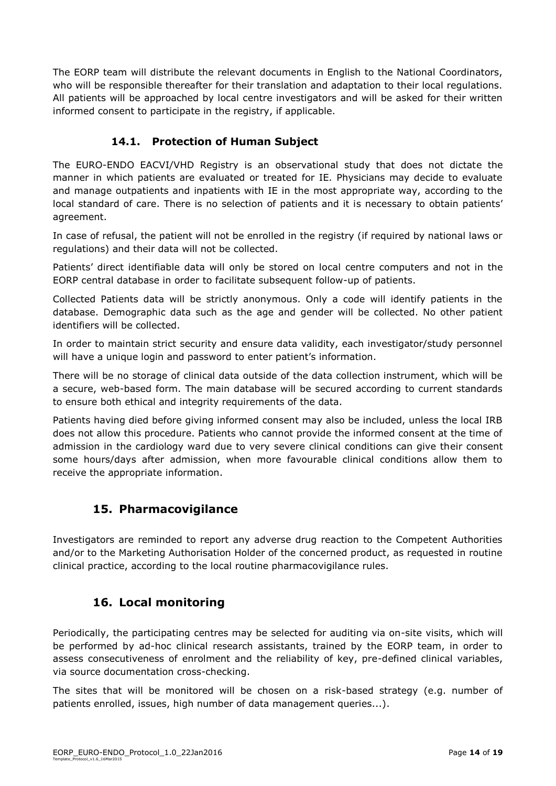The EORP team will distribute the relevant documents in English to the National Coordinators, who will be responsible thereafter for their translation and adaptation to their local regulations. All patients will be approached by local centre investigators and will be asked for their written informed consent to participate in the registry, if applicable.

# **14.1. Protection of Human Subject**

<span id="page-13-0"></span>The EURO-ENDO EACVI/VHD Registry is an observational study that does not dictate the manner in which patients are evaluated or treated for IE. Physicians may decide to evaluate and manage outpatients and inpatients with IE in the most appropriate way, according to the local standard of care. There is no selection of patients and it is necessary to obtain patients' agreement.

In case of refusal, the patient will not be enrolled in the registry (if required by national laws or regulations) and their data will not be collected.

Patients' direct identifiable data will only be stored on local centre computers and not in the EORP central database in order to facilitate subsequent follow-up of patients.

Collected Patients data will be strictly anonymous. Only a code will identify patients in the database. Demographic data such as the age and gender will be collected. No other patient identifiers will be collected.

In order to maintain strict security and ensure data validity, each investigator/study personnel will have a unique login and password to enter patient's information.

There will be no storage of clinical data outside of the data collection instrument, which will be a secure, web-based form. The main database will be secured according to current standards to ensure both ethical and integrity requirements of the data.

Patients having died before giving informed consent may also be included, unless the local IRB does not allow this procedure. Patients who cannot provide the informed consent at the time of admission in the cardiology ward due to very severe clinical conditions can give their consent some hours/days after admission, when more favourable clinical conditions allow them to receive the appropriate information.

# <span id="page-13-1"></span>**15. Pharmacovigilance**

<span id="page-13-2"></span>Investigators are reminded to report any adverse drug reaction to the Competent Authorities and/or to the Marketing Authorisation Holder of the concerned product, as requested in routine clinical practice, according to the local routine pharmacovigilance rules.

# **16. Local monitoring**

Periodically, the participating centres may be selected for auditing via on-site visits, which will be performed by ad-hoc clinical research assistants, trained by the EORP team, in order to assess consecutiveness of enrolment and the reliability of key, pre-defined clinical variables, via source documentation cross-checking.

The sites that will be monitored will be chosen on a risk-based strategy (e.g. number of patients enrolled, issues, high number of data management queries...).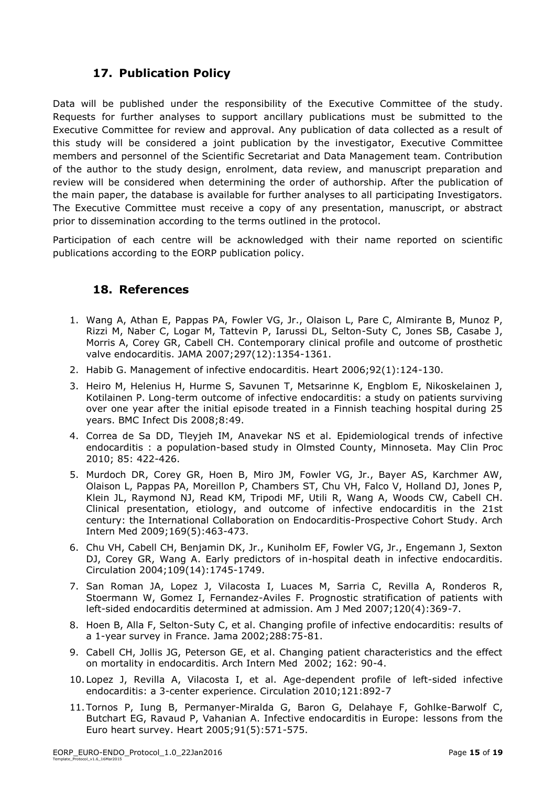# **17. Publication Policy**

<span id="page-14-0"></span>Data will be published under the responsibility of the Executive Committee of the study. Requests for further analyses to support ancillary publications must be submitted to the Executive Committee for review and approval. Any publication of data collected as a result of this study will be considered a joint publication by the investigator, Executive Committee members and personnel of the Scientific Secretariat and Data Management team. Contribution of the author to the study design, enrolment, data review, and manuscript preparation and review will be considered when determining the order of authorship. After the publication of the main paper, the database is available for further analyses to all participating Investigators. The Executive Committee must receive a copy of any presentation, manuscript, or abstract prior to dissemination according to the terms outlined in the protocol.

<span id="page-14-1"></span>Participation of each centre will be acknowledged with their name reported on scientific publications according to the EORP publication policy.

# **18. References**

- 1. Wang A, Athan E, Pappas PA, Fowler VG, Jr., Olaison L, Pare C, Almirante B, Munoz P, Rizzi M, Naber C, Logar M, Tattevin P, Iarussi DL, Selton-Suty C, Jones SB, Casabe J, Morris A, Corey GR, Cabell CH. Contemporary clinical profile and outcome of prosthetic valve endocarditis. JAMA 2007;297(12):1354-1361.
- 2. Habib G. Management of infective endocarditis. Heart 2006;92(1):124-130.
- 3. Heiro M, Helenius H, Hurme S, Savunen T, Metsarinne K, Engblom E, Nikoskelainen J, Kotilainen P. Long-term outcome of infective endocarditis: a study on patients surviving over one year after the initial episode treated in a Finnish teaching hospital during 25 years. BMC Infect Dis 2008;8:49.
- 4. Correa de Sa DD, Tleyjeh IM, Anavekar NS et al. Epidemiological trends of infective endocarditis : a population-based study in Olmsted County, Minnoseta. May Clin Proc 2010; 85: 422-426.
- 5. Murdoch DR, Corey GR, Hoen B, Miro JM, Fowler VG, Jr., Bayer AS, Karchmer AW, Olaison L, Pappas PA, Moreillon P, Chambers ST, Chu VH, Falco V, Holland DJ, Jones P, Klein JL, Raymond NJ, Read KM, Tripodi MF, Utili R, Wang A, Woods CW, Cabell CH. Clinical presentation, etiology, and outcome of infective endocarditis in the 21st century: the International Collaboration on Endocarditis-Prospective Cohort Study. Arch Intern Med 2009;169(5):463-473.
- 6. Chu VH, Cabell CH, Benjamin DK, Jr., Kuniholm EF, Fowler VG, Jr., Engemann J, Sexton DJ, Corey GR, Wang A. Early predictors of in-hospital death in infective endocarditis. Circulation 2004;109(14):1745-1749.
- 7. San Roman JA, Lopez J, Vilacosta I, Luaces M, Sarria C, Revilla A, Ronderos R, Stoermann W, Gomez I, Fernandez-Aviles F. Prognostic stratification of patients with left-sided endocarditis determined at admission. Am J Med 2007;120(4):369-7.
- 8. Hoen B, Alla F, Selton-Suty C, et al. Changing profile of infective endocarditis: results of a 1-year survey in France. Jama 2002;288:75-81.
- 9. Cabell CH, Jollis JG, Peterson GE, et al. Changing patient characteristics and the effect on mortality in endocarditis. Arch Intern Med 2002; 162: 90-4.
- 10. Lopez J, Revilla A, Vilacosta I, et al. Age-dependent profile of left-sided infective endocarditis: a 3-center experience. Circulation 2010;121:892-7
- 11.Tornos P, Iung B, Permanyer-Miralda G, Baron G, Delahaye F, Gohlke-Barwolf C, Butchart EG, Ravaud P, Vahanian A. Infective endocarditis in Europe: lessons from the Euro heart survey. Heart 2005;91(5):571-575.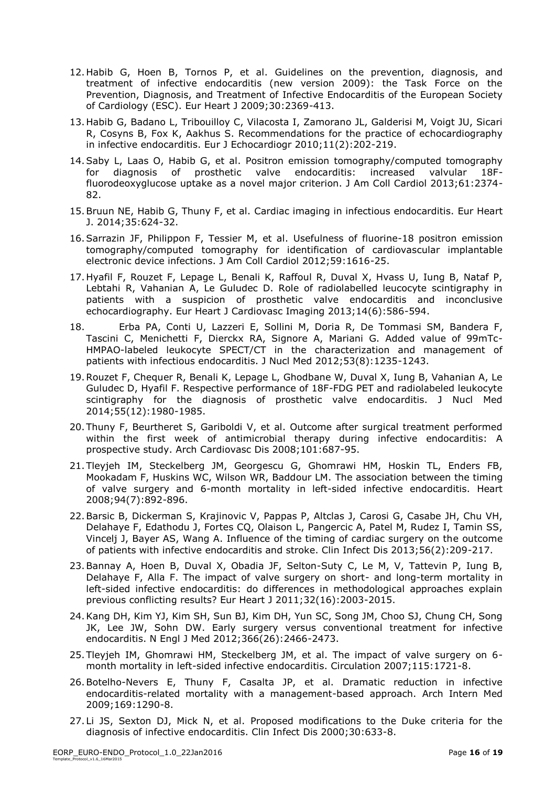- 12.Habib G, Hoen B, Tornos P, et al. Guidelines on the prevention, diagnosis, and treatment of infective endocarditis (new version 2009): the Task Force on the Prevention, Diagnosis, and Treatment of Infective Endocarditis of the European Society of Cardiology (ESC). Eur Heart J 2009;30:2369-413.
- 13.Habib G, Badano L, Tribouilloy C, Vilacosta I, Zamorano JL, Galderisi M, Voigt JU, Sicari R, Cosyns B, Fox K, Aakhus S. Recommendations for the practice of echocardiography in infective endocarditis. Eur J Echocardiogr 2010;11(2):202-219.
- 14.Saby L, Laas O, Habib G, et al. Positron emission tomography/computed tomography for diagnosis of prosthetic valve endocarditis: increased valvular 18Ffluorodeoxyglucose uptake as a novel major criterion. J Am Coll Cardiol 2013;61:2374- 82.
- 15.Bruun NE, Habib G, Thuny F, et al. Cardiac imaging in infectious endocarditis. Eur Heart J. 2014;35:624-32.
- 16.Sarrazin JF, Philippon F, Tessier M, et al. Usefulness of fluorine-18 positron emission tomography/computed tomography for identification of cardiovascular implantable electronic device infections. J Am Coll Cardiol 2012;59:1616-25.
- 17.Hyafil F, Rouzet F, Lepage L, Benali K, Raffoul R, Duval X, Hvass U, Iung B, Nataf P, Lebtahi R, Vahanian A, Le Guludec D. Role of radiolabelled leucocyte scintigraphy in patients with a suspicion of prosthetic valve endocarditis and inconclusive echocardiography. Eur Heart J Cardiovasc Imaging 2013;14(6):586-594.
- 18. Erba PA, Conti U, Lazzeri E, Sollini M, Doria R, De Tommasi SM, Bandera F, Tascini C, Menichetti F, Dierckx RA, Signore A, Mariani G. Added value of 99mTc-HMPAO-labeled leukocyte SPECT/CT in the characterization and management of patients with infectious endocarditis. J Nucl Med 2012;53(8):1235-1243.
- 19.Rouzet F, Chequer R, Benali K, Lepage L, Ghodbane W, Duval X, Iung B, Vahanian A, Le Guludec D, Hyafil F. Respective performance of 18F-FDG PET and radiolabeled leukocyte scintigraphy for the diagnosis of prosthetic valve endocarditis. J Nucl Med 2014;55(12):1980-1985.
- 20.Thuny F, Beurtheret S, Gariboldi V, et al. Outcome after surgical treatment performed within the first week of antimicrobial therapy during infective endocarditis: A prospective study. Arch Cardiovasc Dis 2008;101:687-95.
- 21.Tleyjeh IM, Steckelberg JM, Georgescu G, Ghomrawi HM, Hoskin TL, Enders FB, Mookadam F, Huskins WC, Wilson WR, Baddour LM. The association between the timing of valve surgery and 6-month mortality in left-sided infective endocarditis. Heart 2008;94(7):892-896.
- 22.Barsic B, Dickerman S, Krajinovic V, Pappas P, Altclas J, Carosi G, Casabe JH, Chu VH, Delahaye F, Edathodu J, Fortes CQ, Olaison L, Pangercic A, Patel M, Rudez I, Tamin SS, Vincelj J, Bayer AS, Wang A. Influence of the timing of cardiac surgery on the outcome of patients with infective endocarditis and stroke. Clin Infect Dis 2013;56(2):209-217.
- 23.Bannay A, Hoen B, Duval X, Obadia JF, Selton-Suty C, Le M, V, Tattevin P, Iung B, Delahaye F, Alla F. The impact of valve surgery on short- and long-term mortality in left-sided infective endocarditis: do differences in methodological approaches explain previous conflicting results? Eur Heart J 2011;32(16):2003-2015.
- 24.Kang DH, Kim YJ, Kim SH, Sun BJ, Kim DH, Yun SC, Song JM, Choo SJ, Chung CH, Song JK, Lee JW, Sohn DW. Early surgery versus conventional treatment for infective endocarditis. N Engl J Med 2012;366(26):2466-2473.
- 25.Tleyjeh IM, Ghomrawi HM, Steckelberg JM, et al. The impact of valve surgery on 6 month mortality in left-sided infective endocarditis. Circulation 2007;115:1721-8.
- 26.Botelho-Nevers E, Thuny F, Casalta JP, et al. Dramatic reduction in infective endocarditis-related mortality with a management-based approach. Arch Intern Med 2009;169:1290-8.
- 27. Li JS, Sexton DJ, Mick N, et al. Proposed modifications to the Duke criteria for the diagnosis of infective endocarditis. Clin Infect Dis 2000;30:633-8.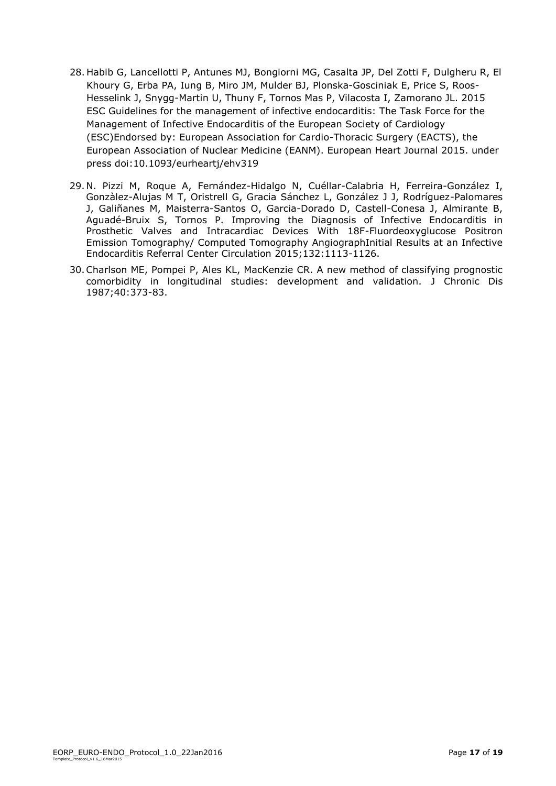- 28. Habib G, Lancellotti P, Antunes MJ, Bongiorni MG, Casalta JP, Del Zotti F, Dulgheru R, El Khoury G, Erba PA, Iung B, Miro JM, Mulder BJ, Plonska-Gosciniak E, Price S, Roos-Hesselink J, Snygg-Martin U, Thuny F, Tornos Mas P, Vilacosta I, Zamorano JL. 2015 ESC Guidelines for the management of infective endocarditis: The Task Force for the Management of Infective Endocarditis of the European Society of Cardiology (ESC)Endorsed by: European Association for Cardio-Thoracic Surgery (EACTS), the European Association of Nuclear Medicine (EANM). European Heart Journal 2015. under press doi:10.1093/eurheartj/ehv319
- 29.N. Pizzi M, Roque A, Fernández-Hidalgo N, Cuéllar-Calabria H, Ferreira-González I, Gonzàlez-Alujas M T, Oristrell G, Gracia Sánchez L, González J J, Rodríguez-Palomares J, Galiñanes M, Maisterra-Santos O, Garcia-Dorado D, Castell-Conesa J, Almirante B, Aguadé-Bruix S, Tornos P. Improving the Diagnosis of Infective Endocarditis in Prosthetic Valves and Intracardiac Devices With 18F-Fluordeoxyglucose Positron Emission Tomography/ Computed Tomography AngiographInitial Results at an Infective Endocarditis Referral Center Circulation 2015;132:1113-1126.
- 30.Charlson ME, Pompei P, Ales KL, MacKenzie CR. A new method of classifying prognostic comorbidity in longitudinal studies: development and validation. J Chronic Dis 1987;40:373-83.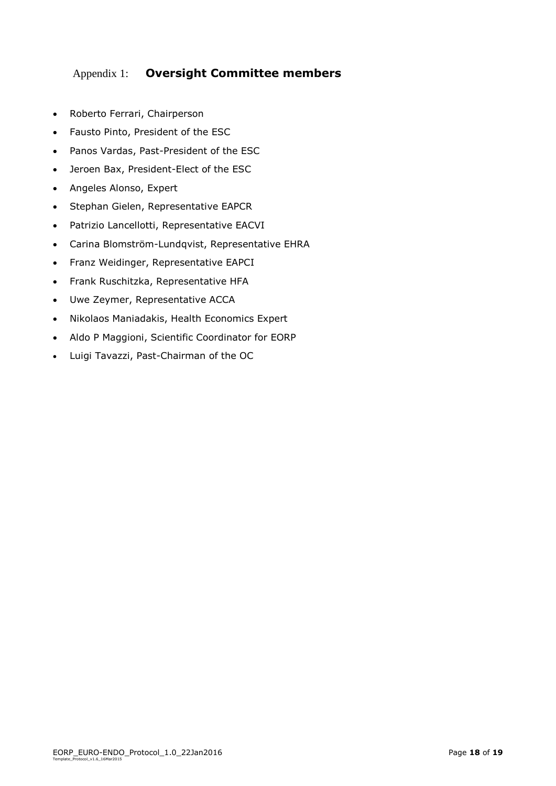# <span id="page-17-0"></span>Appendix 1: **Oversight Committee members**

- Roberto Ferrari, Chairperson
- Fausto Pinto, President of the ESC
- Panos Vardas, Past-President of the ESC
- Jeroen Bax, President-Elect of the ESC
- Angeles Alonso, Expert
- Stephan Gielen, Representative EAPCR
- Patrizio Lancellotti, Representative EACVI
- Carina Blomström-Lundqvist, Representative EHRA
- Franz Weidinger, Representative EAPCI
- Frank Ruschitzka, Representative HFA
- Uwe Zeymer, Representative ACCA
- Nikolaos Maniadakis, Health Economics Expert
- Aldo P Maggioni, Scientific Coordinator for EORP
- Luigi Tavazzi, Past-Chairman of the OC